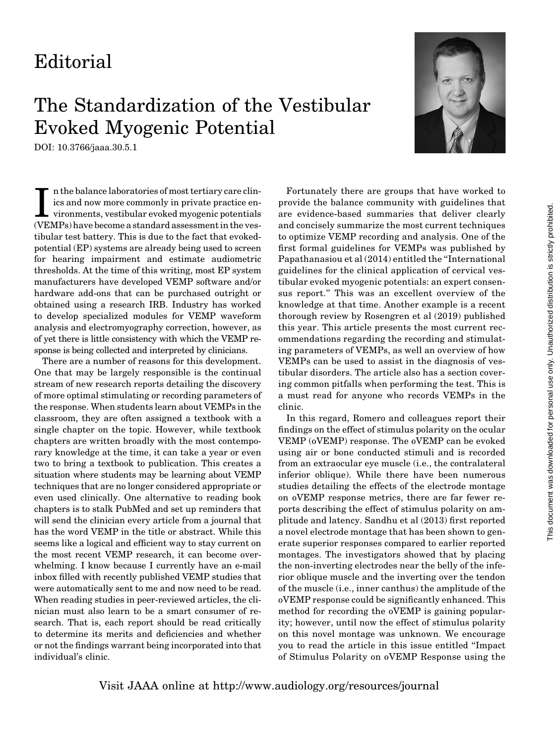## Editorial

## The Standardization of the Vestibular Evoked Myogenic Potential

DOI: 10.3766/jaaa.30.5.1



In the balance laboratories of most tertiary care clinics and now more commonly in private practice environments, vestibular evoked myogenic potentials (VEMPs) have become a standard assessment in the vesn the balance laboratories of most tertiary care clinics and now more commonly in private practice environments, vestibular evoked myogenic potentials tibular test battery. This is due to the fact that evokedpotential (EP) systems are already being used to screen for hearing impairment and estimate audiometric thresholds. At the time of this writing, most EP system manufacturers have developed VEMP software and/or hardware add-ons that can be purchased outright or obtained using a research IRB. Industry has worked to develop specialized modules for VEMP waveform analysis and electromyography correction, however, as of yet there is little consistency with which the VEMP response is being collected and interpreted by clinicians.

There are a number of reasons for this development. One that may be largely responsible is the continual stream of new research reports detailing the discovery of more optimal stimulating or recording parameters of the response. When students learn about VEMPs in the classroom, they are often assigned a textbook with a single chapter on the topic. However, while textbook chapters are written broadly with the most contemporary knowledge at the time, it can take a year or even two to bring a textbook to publication. This creates a situation where students may be learning about VEMP techniques that are no longer considered appropriate or even used clinically. One alternative to reading book chapters is to stalk PubMed and set up reminders that will send the clinician every article from a journal that has the word VEMP in the title or abstract. While this seems like a logical and efficient way to stay current on the most recent VEMP research, it can become overwhelming. I know because I currently have an e-mail inbox filled with recently published VEMP studies that were automatically sent to me and now need to be read. When reading studies in peer-reviewed articles, the clinician must also learn to be a smart consumer of research. That is, each report should be read critically to determine its merits and deficiencies and whether or not the findings warrant being incorporated into that individual's clinic.

Fortunately there are groups that have worked to provide the balance community with guidelines that are evidence-based summaries that deliver clearly and concisely summarize the most current techniques to optimize VEMP recording and analysis. One of the first formal guidelines for VEMPs was published by Papathanasiou et al (2014) entitled the ''International guidelines for the clinical application of cervical vestibular evoked myogenic potentials: an expert consensus report.'' This was an excellent overview of the knowledge at that time. Another example is a recent thorough review by Rosengren et al (2019) published this year. This article presents the most current recommendations regarding the recording and stimulating parameters of VEMPs, as well an overview of how VEMPs can be used to assist in the diagnosis of vestibular disorders. The article also has a section covering common pitfalls when performing the test. This is a must read for anyone who records VEMPs in the clinic.

In this regard, Romero and colleagues report their findings on the effect of stimulus polarity on the ocular VEMP (oVEMP) response. The oVEMP can be evoked using air or bone conducted stimuli and is recorded from an extraocular eye muscle (i.e., the contralateral inferior oblique). While there have been numerous studies detailing the effects of the electrode montage on oVEMP response metrics, there are far fewer reports describing the effect of stimulus polarity on amplitude and latency. Sandhu et al (2013) first reported a novel electrode montage that has been shown to generate superior responses compared to earlier reported montages. The investigators showed that by placing the non-inverting electrodes near the belly of the inferior oblique muscle and the inverting over the tendon of the muscle (i.e., inner canthus) the amplitude of the oVEMP response could be significantly enhanced. This method for recording the oVEMP is gaining popularity; however, until now the effect of stimulus polarity on this novel montage was unknown. We encourage you to read the article in this issue entitled ''Impact of Stimulus Polarity on oVEMP Response using the

Visit JAAA online at http://www.audiology.org/resources/journal